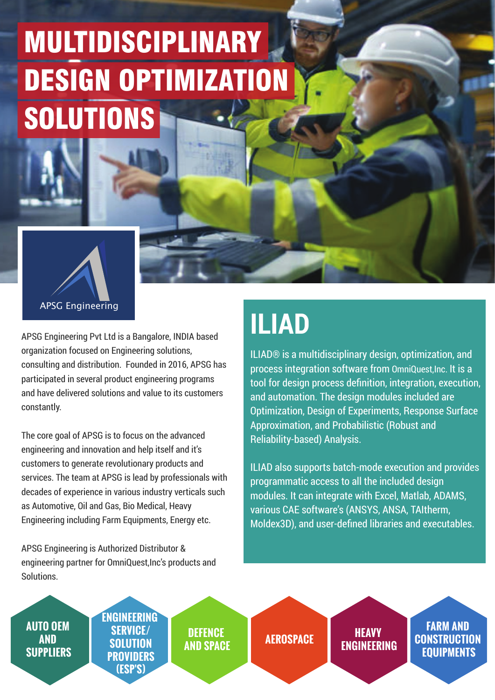APSG Engineering Pvt Ltd is a Bangalore, INDIA based organization focused on Engineering solutions, consulting and distribution. Founded in 2016, APSG has participated in several product engineering programs and have delivered solutions and value to its customers constantly.

The core goal of APSG is to focus on the advanced engineering and innovation and help itself and it's customers to generate revolutionary products and services. The team at APSG is lead by professionals with decades of experience in various industry verticals such as Automotive, Oil and Gas, Bio Medical, Heavy Engineering including Farm Equipments, Energy etc.

APSG Engineering is Authorized Distributor & engineering partner for OmniQuest,Inc's products and Solutions.







## MULTIDISCIPLINARY DESIGN OPTIMIZATION SOLUTIONS

## **ILIAD**

ILIAD® is a multidisciplinary design, optimization, and process integration software from OmniQuest,Inc. It is a tool for design process definition, integration, execution, and automation. The design modules included are Optimization, Design of Experiments, Response Surface Approximation, and Probabilistic (Robust and Reliability-based) Analysis.

ILIAD also supports batch-mode execution and provides programmatic access to all the included design modules. It can integrate with Excel, Matlab, ADAMS, various CAE software's (ANSYS, ANSA, TAItherm, Moldex3D), and user-defined libraries and executables.